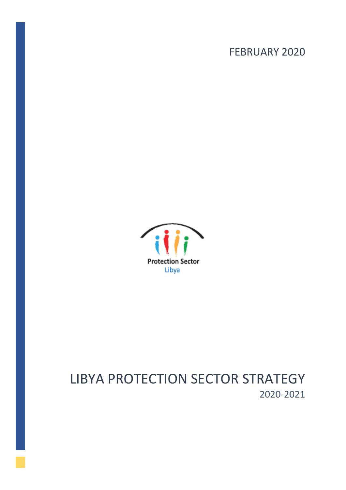# FEBRUARY 2020



# LIBYA PROTECTION SECTOR STRATEGY 2020-2021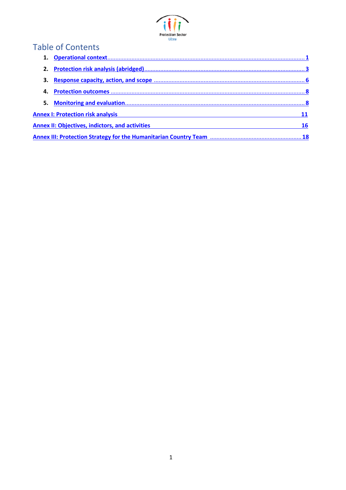

# Table of Contents

| <b>Annex I: Protection risk analysis</b>               |  |  |
|--------------------------------------------------------|--|--|
| <b>Annex II: Objectives, indictors, and activities</b> |  |  |
|                                                        |  |  |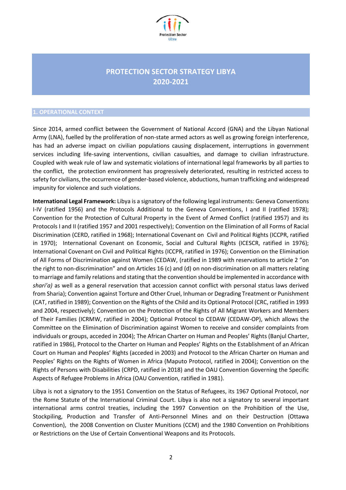

# **PROTECTION SECTOR STRATEGY LIBYA 2020-2021**

#### <span id="page-2-0"></span>**1. OPERATIONAL CONTEXT**

Since 2014, armed conflict between the Government of National Accord (GNA) and the Libyan National Army (LNA), fuelled by the proliferation of non-state armed actors as well as growing foreign interference, has had an adverse impact on civilian populations causing displacement, interruptions in government services including life-saving interventions, civilian casualties, and damage to civilian infrastructure. Coupled with weak rule of law and systematic violations of international legal frameworks by all parties to the conflict, the protection environment has progressively deteriorated, resulting in restricted access to safety for civilians, the occurrence of gender-based violence, abductions, human trafficking and widespread impunity for violence and such violations.

**International Legal Framework:** Libya is a signatory of the following legal instruments: Geneva Conventions I-IV (ratified 1956) and the Protocols Additional to the Geneva Conventions, I and II (ratified 1978); Convention for the Protection of Cultural Property in the Event of Armed Conflict (ratified 1957) and its Protocols I and II (ratified 1957 and 2001 respectively); Convention on the Elimination of all Forms of Racial Discrimination (CERD, ratified in 1968); International Covenant on Civil and Political Rights (ICCPR, ratified in 1970); International Covenant on Economic, Social and Cultural Rights (ICESCR, ratified in 1976); International Covenant on Civil and Political Rights (ICCPR, ratified in 1976); Convention on the Elimination of All Forms of Discrimination against Women (CEDAW, (ratified in 1989 with reservations to article 2 "on the right to non-discrimination" and on Articles 16 (c) and (d) on non-discrimination on all matters relating to marriage and family relations and stating that the convention should be implemented in accordance with *shari'a)* as well as a general reservation that accession cannot conflict with personal status laws derived from Sharia); Convention against Torture and Other Cruel, Inhuman or Degrading Treatment or Punishment (CAT, ratified in 1989); Convention on the Rights of the Child and its Optional Protocol (CRC, ratified in 1993 and 2004, respectively); Convention on the Protection of the Rights of All Migrant Workers and Members of Their Families (ICRMW, ratified in 2004); Optional Protocol to CEDAW (CEDAW-OP), which allows the Committee on the Elimination of Discrimination against Women to receive and consider complaints from individuals or groups, acceded in 2004); The African Charter on Human and Peoples' Rights (Banjul Charter, ratified in 1986), Protocol to the Charter on Human and Peoples' Rights on the Establishment of an African Court on Human and Peoples' Rights (acceded in 2003) and Protocol to the African Charter on Human and Peoples' Rights on the Rights of Women in Africa (Maputo Protocol, ratified in 2004); Convention on the Rights of Persons with Disabilities (CRPD, ratified in 2018) and the OAU Convention Governing the Specific Aspects of Refugee Problems in Africa (OAU Convention, ratified in 1981).

Libya is not a signatory to the 1951 Convention on the Status of Refugees, its 1967 Optional Protocol, nor the Rome Statute of the International Criminal Court. Libya is also not a signatory to several important international arms control treaties, including the 1997 Convention on the Prohibition of the Use, Stockpiling, Production and Transfer of Anti-Personnel Mines and on their Destruction (Ottawa Convention), the 2008 Convention on Cluster Munitions (CCM) and the 1980 Convention on Prohibitions or Restrictions on the Use of Certain Conventional Weapons and its Protocols.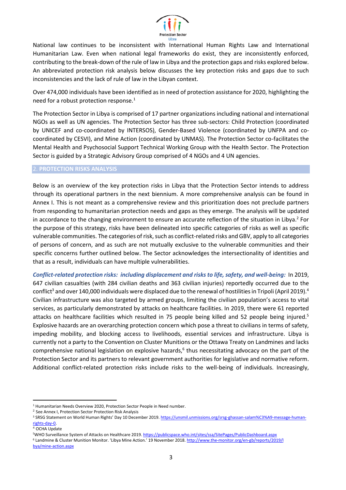

National law continues to be inconsistent with International Human Rights Law and International Humanitarian Law. Even when national legal frameworks do exist, they are inconsistently enforced, contributing to the break-down of the rule of law in Libya and the protection gaps and risks explored below. An abbreviated protection risk analysis below discusses the key protection risks and gaps due to such inconsistencies and the lack of rule of law in the Libyan context.

Over 474,000 individuals have been identified as in need of protection assistance for 2020, highlighting the need for a robust protection response.<sup>1</sup>

The Protection Sector in Libya is comprised of 17 partner organizations including national and international NGOs as well as UN agencies. The Protection Sector has three sub-sectors: Child Protection (coordinated by UNICEF and co-coordinated by INTERSOS), Gender-Based Violence (coordinated by UNFPA and cocoordinated by CESVI), and Mine Action (coordinated by UNMAS). The Protection Sector co-facilitates the Mental Health and Psychosocial Support Technical Working Group with the Health Sector. The Protection Sector is guided by a Strategic Advisory Group comprised of 4 NGOs and 4 UN agencies.

### <span id="page-3-0"></span>2. **PROTECTION RISKS ANALYSIS**

Below is an overview of the key protection risks in Libya that the Protection Sector intends to address through its operational partners in the next biennium. A more comprehensive analysis can be found in Annex I. This is not meant as a comprehensive review and this prioritization does not preclude partners from responding to humanitarian protection needs and gaps as they emerge. The analysis will be updated in accordance to the changing environment to ensure an accurate reflection of the situation in Libya.<sup>2</sup> For the purpose of this strategy, risks have been delineated into specific categories of risks as well as specific vulnerable communities. The categories of risk, such as conflict-related risks and GBV, apply to all categories of persons of concern, and as such are not mutually exclusive to the vulnerable communities and their specific concerns further outlined below. The Sector acknowledges the intersectionality of identities and that as a result, individuals can have multiple vulnerabilities.

*Conflict-related protection risks: including displacement and risks to life, safety, and well-being:* In 2019, 647 civilian casualties (with 284 civilian deaths and 363 civilian injuries) reportedly occurred due to the conflict<sup>3</sup> and over 140,000 individuals were displaced due to the renewal of hostilities in Tripoli (April 2019).<sup>4</sup> Civilian infrastructure was also targeted by armed groups, limiting the civilian population's access to vital services, as particularly demonstrated by attacks on healthcare facilities. In 2019, there were 61 reported attacks on healthcare facilities which resulted in 75 people being killed and 52 people being injured.<sup>5</sup> Explosive hazards are an overarching protection concern which pose a threat to civilians in terms of safety, impeding mobility, and blocking access to livelihoods, essential services and infrastructure. Libya is currently not a party to the Convention on Cluster Munitions or the Ottawa Treaty on Landmines and lacks comprehensive national legislation on explosive hazards,<sup>6</sup> thus necessitating advocacy on the part of the Protection Sector and its partners to relevant government authorities for legislative and normative reform. Additional conflict-related protection risks include risks to the well-being of individuals. Increasingly,

<sup>&</sup>lt;sup>1</sup> Humanitarian Needs Overview 2020, Protection Sector People in Need number.

<sup>&</sup>lt;sup>2</sup> See Annex I, Protection Sector Protection Risk Analysis

<sup>&</sup>lt;sup>3</sup> SRSG Statement on World Human Rights' Day 10 December 2019. [https://unsmil.unmissions.org/srsg-ghassan-salam%C3%A9-message-human](https://unsmil.unmissions.org/srsg-ghassan-salam%C3%A9-message-human-rights-day-0)[rights-day-0.](https://unsmil.unmissions.org/srsg-ghassan-salam%C3%A9-message-human-rights-day-0)

<sup>4</sup> OCHA Update

<sup>5</sup>WHO Surveillance System of Attacks on Healthcare 2019[. https://publicspace.who.int/sites/ssa/SitePages/PublicDashboard.aspx](https://publicspace.who.int/sites/ssa/SitePages/PublicDashboard.aspx)

<sup>6</sup> Landmine & Cluster Munition Monitor. 'Libya Mine Action.' 19 November 2018. [http://www.the-monitor.org/en-gb/reports/2019/l](http://www.the-monitor.org/en-gb/reports/2019/lbya/mine-action.aspx) [bya/mine-action.aspx](http://www.the-monitor.org/en-gb/reports/2019/lbya/mine-action.aspx)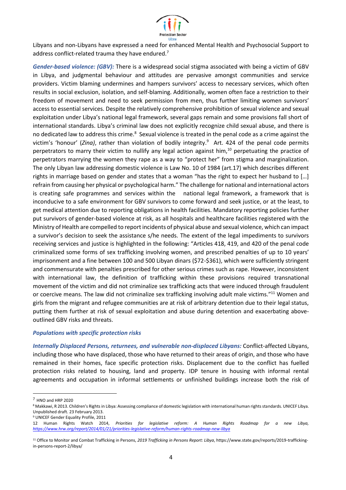

Libyans and non-Libyans have expressed a need for enhanced Mental Health and Psychosocial Support to address conflict-related trauma they have endured.<sup>7</sup>

*Gender-based violence: (GBV):* There is a widespread social stigma associated with being a victim of GBV in Libya, and judgmental behaviour and attitudes are pervasive amongst communities and service providers. Victim blaming undermines and hampers survivors' access to necessary services, which often results in social exclusion, isolation, and self-blaming. Additionally, women often face a restriction to their freedom of movement and need to seek permission from men, thus further limiting women survivors' access to essential services. Despite the relatively comprehensive prohibition of sexual violence and sexual exploitation under Libya's national legal framework, several gaps remain and some provisions fall short of international standards. Libya's criminal law does not explicitly recognize child sexual abuse, and there is no dedicated law to address this crime.<sup>8</sup> Sexual violence is treated in the penal code as a crime against the victim's 'honour' (*Zina)*, rather than violation of bodily integrity.<sup>9</sup> Art. 424 of the penal code permits perpetrators to marry their victim to nullify any legal action against him,<sup>10</sup> perpetuating the practice of perpetrators marrying the women they rape as a way to "protect her" from stigma and marginalization. The only Libyan law addressing domestic violence is Law No. 10 of 1984 (art.17) which describes different rights in marriage based on gender and states that a woman "has the right to expect her husband to […] refrain from causing her physical or psychological harm." The challenge for national and international actors is creating safe programmes and services within the national legal framework, a framework that is inconducive to a safe environment for GBV survivors to come forward and seek justice, or at the least, to get medical attention due to reporting obligations in health facilities. Mandatory reporting policies further put survivors of gender-based violence at risk, as all hospitals and healthcare facilities registered with the Ministry of Health are compelled to report incidents of physical abuse and sexual violence, which can impact a survivor's decision to seek the assistance s/he needs. The extent of the legal impediments to survivors receiving services and justice is highlighted in the following: "Articles 418, 419, and 420 of the penal code criminalized some forms of sex trafficking involving women, and prescribed penalties of up to 10 years' imprisonment and a fine between 100 and 500 Libyan dinars (\$72-\$361), which were sufficiently stringent and commensurate with penalties prescribed for other serious crimes such as rape. However, inconsistent with international law, the definition of trafficking within these provisions required transnational movement of the victim and did not criminalize sex trafficking acts that were induced through fraudulent or coercive means. The law did not criminalize sex trafficking involving adult male victims."<sup>11</sup> Women and girls from the migrant and refugee communities are at risk of arbitrary detention due to their legal status, putting them further at risk of sexual exploitation and abuse during detention and exacerbating aboveoutlined GBV risks and threats.

### *Populations with specific protection risks*

*Internally Displaced Persons, returnees, and vulnerable non-displaced Libyans:* Conflict-affected Libyans, including those who have displaced, those who have returned to their areas of origin, and those who have remained in their homes, face specific protection risks. Displacement due to the conflict has fuelled protection risks related to housing, land and property. IDP tenure in housing with informal rental agreements and occupation in informal settlements or unfinished buildings increase both the risk of

<sup>9</sup> UNICEF Gender Equality Profile, 2011

<sup>7</sup> HNO and HRP 2020

<sup>8</sup> Makkawi, R 2013. Children's Rights in Libya: Assessing compliance of domestic legislation with international human rights standards. UNICEF Libya. Unpublished draft. 23 February 2013.

<sup>12</sup> Human Rights Watch 2014, *Priorities for legislative reform: A Human Rights Roadmap for a new Libya, <https://www.hrw.org/report/2014/01/21/priorities-legislative-reform/human-rights-roadmap-new-libya>*

<sup>11</sup> Office to Monitor and Combat Trafficking in Persons, *2019 Trafficking in Persons Report: Libya*, https://www.state.gov/reports/2019-traffickingin-persons-report-2/libya/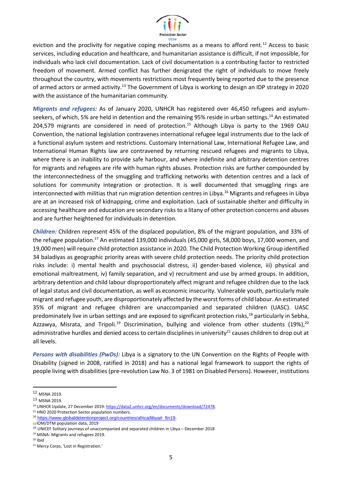

eviction and the proclivity for negative coping mechanisms as a means to afford rent.<sup>12</sup> Access to basic services, including education and healthcare, and humanitarian assistance is difficult, if not impossible, for individuals who lack civil documentation. Lack of civil documentation is a contributing factor to restricted freedom of movement. Armed conflict has further denigrated the right of individuals to move freely throughout the country, with movements restrictions most frequently being reported due to the presence of armed actors or armed activity.<sup>13</sup> The Government of Libya is working to design an IDP strategy in 2020 with the assistance of the humanitarian community.

*Migrants and refugees:* As of January 2020, UNHCR has registered over 46,450 refugees and asylumseekers, of which, 5% are held in detention and the remaining 95% reside in urban settings.<sup>14</sup> An estimated 204,579 migrants are considered in need of protection. <sup>15</sup> Although Libya is party to the 1969 OAU Convention, the national legislation contravenes international refugee legal instruments due to the lack of a functional asylum system and restrictions. Customary International Law, International Refugee Law, and International Human Rights law are contravened by returning rescued refugees and migrants to Libya, where there is an inability to provide safe harbour, and where indefinite and arbitrary detention centres for migrants and refugees are rife with human rights abuses. Protection risks are further compounded by the interconnectedness of the smuggling and trafficking networks with detention centres and a lack of solutions for community integration or protection. It is well documented that smuggling rings are interconnected with militias that run migration detention centres in Libya.<sup>16</sup> Migrants and refugees in Libya are at an increased risk of kidnapping, crime and exploitation. Lack of sustainable shelter and difficulty in accessing healthcare and education are secondary risks to a litany of other protection concerns and abuses and are further heightened for individuals in detention.

*Children:* Children represent 45% of the displaced population, 8% of the migrant population, and 33% of the refugee population.<sup>17</sup> An estimated 139,000 individuals (45,000 girls, 58,000 boys, 17,000 women, and 19,000 men) will require child protection assistance in 2020. The Child Protection Working Group identified 34 baladiyas as geographic priority areas with severe child protection needs. The priority child protection risks include: i) mental health and psychosocial distress, ii) gender-based violence, iii) physical and emotional maltreatment, iv) family separation, and v) recruitment and use by armed groups. In addition, arbitrary detention and child labour disproportionately affect migrant and refugee children due to the lack of legal status and civil documentation, as well as economic insecurity. Vulnerable youth, particularly male migrant and refugee youth, are disproportionately affected by the worst forms of child labour. An estimated 35% of migrant and refugee children are unaccompanied and separated children (UASC). UASC predominately live in urban settings and are exposed to significant protection risks,<sup>18</sup> particularly in Sebha, Azzawya, Misrata, and Tripoli.<sup>19</sup> Discrimination, bullying and violence from other students (19%),<sup>20</sup> administrative hurdles and denied access to certain disciplines in university<sup>21</sup> causes children to drop out at all levels.

*Persons with disabilities (PwDs):* Libya is a signatory to the UN Convention on the Rights of People with Disability (signed in 2008, ratified in 2018) and has a national legal framework to support the rights of people living with disabilities (pre-revolution Law No. 3 of 1981 on Disabled Persons). However, institutions

<sup>12</sup> MSNA 2019.

<sup>13</sup> MSNA 2019.

<sup>14</sup> UNHCR Update, 27 December 2019[: https://data2.unhcr.org/en/documents/download/72478.](https://data2.unhcr.org/en/documents/download/72478) 

<sup>15</sup> HNO 2020 Protection Sector population numbers.

<sup>16</sup> [https://www.globaldetentionproject.org/countries/africa/libya#\\_ftn19.](https://www.globaldetentionproject.org/countries/africa/libya#_ftn19)

<sup>13</sup>IOM/DTM population data, 2019

<sup>&</sup>lt;sup>18</sup> UNICEF Solitary journeys of unaccompanied and separated children in Libya - December 2018

<sup>19</sup> MSNA- Migrants and refugees 2019.

<sup>20</sup> Ibid

<sup>21</sup> Mercy Corps, 'Lost in Registration.'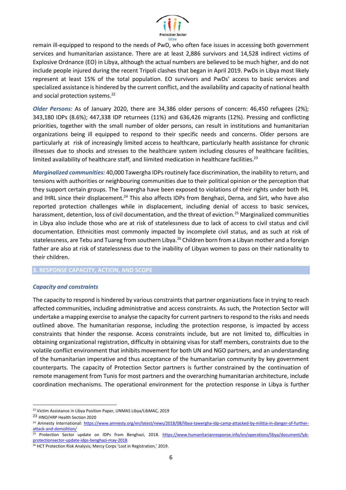

remain ill-equipped to respond to the needs of PwD, who often face issues in accessing both government services and humanitarian assistance. There are at least 2,886 survivors and 14,528 indirect victims of Explosive Ordnance (EO) in Libya, although the actual numbers are believed to be much higher, and do not include people injured during the recent Tripoli clashes that began in April 2019. PwDs in Libya most likely represent at least 15% of the total population. EO survivors and PwDs' access to basic services and specialized assistance is hindered by the current conflict, and the availability and capacity of national health and social protection systems.<sup>22</sup>

*Older Persons:* As of January 2020, there are 34,386 older persons of concern: 46,450 refugees (2%); 343,180 IDPs (8.6%); 447,338 IDP returnees (11%) and 636,426 migrants (12%). Pressing and conflicting priorities, together with the small number of older persons, can result in institutions and humanitarian organizations being ill equipped to respond to their specific needs and concerns. Older persons are particularly at risk of increasingly limited access to healthcare, particularly health assistance for chronic illnesses due to shocks and stresses to the healthcare system including closures of healthcare facilities, limited availability of healthcare staff, and liimited medication in healthcare facilities.<sup>23</sup>

*Marginalized communities:* 40,000 Tawergha IDPs routinely face discrimination, the inability to return, and tensions with authorities or neighbouring communities due to their political opinion or the perception that they support certain groups. The Tawergha have been exposed to violations of their rights under both IHL and IHRL since their displacement.<sup>24</sup> This also affects IDPs from Benghazi, Derna, and Sirt, who have also reported protection challenges while in displacement, including denial of access to basic services, harassment, detention, loss of civil documentation, and the threat of eviction.<sup>25</sup> Marginalized communities in Libya also include those who are at risk of statelessness due to lack of access to civil status and civil documentation. Ethnicities most commonly impacted by incomplete civil status, and as such at risk of statelessness, are Tebu and Tuareg from southern Libya.<sup>26</sup> Children born from a Libyan mother and a foreign father are also at risk of statelessness due to the inability of Libyan women to pass on their nationality to their children.

<span id="page-6-0"></span>**3. RESPONSE CAPACITY, ACTION, AND SCOPE**

### *Capacity and constraints*

The capacity to respond is hindered by various constraints that partner organizations face in trying to reach affected communities, including administrative and access constraints. As such, the Protection Sector will undertake a mapping exercise to analyse the capacity for current partners to respond to the risks and needs outlined above. The humanitarian response, including the protection response, is impacted by access constraints that hinder the response. Access constraints include, but are not limited to, difficulties in obtaining organizational registration, difficulty in obtaining visas for staff members, constraints due to the volatile conflict environment that inhibits movement for both UN and NGO partners, and an understanding of the humanitarian imperative and thus acceptance of the humanitarian community by key government counterparts. The capacity of Protection Sector partners is further constrained by the continuation of remote management from Tunis for most partners and the overarching humanitarian architecture, include coordination mechanisms. The operational environment for the protection response in Libya is further

<sup>22</sup> Victim Assistance in Libya Position Paper, UNMAS Libya/LibMAC, 2019

<sup>23</sup> HNO/HRP Health Section 2020

<sup>&</sup>lt;sup>24</sup> Amnesty International: [https://www.amnesty.org/en/latest/news/2018/08/libya-tawergha-idp-camp-attacked-by-militia-in-danger-of-further](https://www.amnesty.org/en/latest/news/2018/08/libya-tawergha-idp-camp-attacked-by-militia-in-danger-of-further-attack-and-demolition/)[attack-and-demolition/](https://www.amnesty.org/en/latest/news/2018/08/libya-tawergha-idp-camp-attacked-by-militia-in-danger-of-further-attack-and-demolition/)

<sup>&</sup>lt;sup>25</sup> Protection Sector update on IDPs from Benghazi, 2018. [https://www.humanitarianresponse.info/en/operations/libya/document/lyb](https://www.humanitarianresponse.info/en/operations/libya/document/lyb-protectionsector-update-idps-benghazi-may-2018)[protectionsector-update-idps-benghazi-may-2018.](https://www.humanitarianresponse.info/en/operations/libya/document/lyb-protectionsector-update-idps-benghazi-may-2018)

<sup>&</sup>lt;sup>26</sup> HCT Protection Risk Analysis; Mercy Corps 'Lost in Registration,' 2019.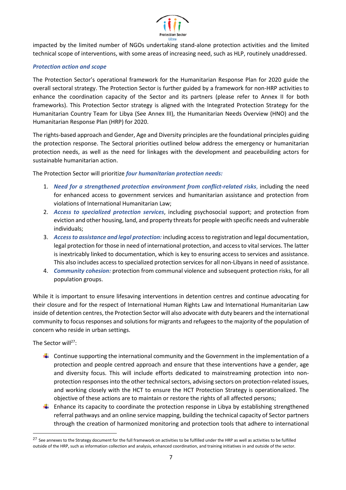

impacted by the limited number of NGOs undertaking stand-alone protection activities and the limited technical scope of interventions, with some areas of increasing need, such as HLP, routinely unaddressed.

### *Protection action and scope*

The Protection Sector's operational framework for the Humanitarian Response Plan for 2020 guide the overall sectoral strategy. The Protection Sector is further guided by a framework for non-HRP activities to enhance the coordination capacity of the Sector and its partners (please refer to Annex II for both frameworks). This Protection Sector strategy is aligned with the Integrated Protection Strategy for the Humanitarian Country Team for Libya (See Annex III), the Humanitarian Needs Overview (HNO) and the Humanitarian Response Plan (HRP) for 2020.

The rights-based approach and Gender, Age and Diversity principles are the foundational principles guiding the protection response. The Sectoral priorities outlined below address the emergency or humanitarian protection needs, as well as the need for linkages with the development and peacebuilding actors for sustainable humanitarian action.

The Protection Sector will prioritize *four humanitarian protection needs:*

- 1. *Need for a strengthened protection environment from conflict-related risks*, including the need for enhanced access to government services and humanitarian assistance and protection from violations of International Humanitarian Law;
- 2. *Access to specialized protection services*, including psychosocial support; and protection from eviction and other housing, land, and property threats for people with specific needs and vulnerable individuals;
- 3. *Access to assistance and legal protection:* including access to registration and legal documentation, legal protection for those in need of international protection, and access to vital services. The latter is inextricably linked to documentation, which is key to ensuring access to services and assistance. This also includes access to specialized protection services for all non-Libyans in need of assistance.
- 4. *Community cohesion:* protection from communal violence and subsequent protection risks, for all population groups.

While it is important to ensure lifesaving interventions in detention centres and continue advocating for their closure and for the respect of International Human Rights Law and International Humanitarian Law inside of detention centres, the Protection Sector will also advocate with duty bearers and the international community to focus responses and solutions for migrants and refugees to the majority of the population of concern who reside in urban settings.

The Sector will<sup>27</sup>:

- **Let updom** Continue supporting the international community and the Government in the implementation of a protection and people centred approach and ensure that these interventions have a gender, age and diversity focus. This will include efforts dedicated to mainstreaming protection into nonprotection responses into the other technical sectors, advising sectors on protection-related issues, and working closely with the HCT to ensure the HCT Protection Strategy is operationalized. The objective of these actions are to maintain or restore the rights of all affected persons;
- $\ddot{\phantom{1}}$  Enhance its capacity to coordinate the protection response in Libya by establishing strengthened referral pathways and an online service mapping, building the technical capacity of Sector partners through the creation of harmonized monitoring and protection tools that adhere to international

<sup>&</sup>lt;sup>27</sup> See annexes to the Strategy document for the full framework on activities to be fulfilled under the HRP as well as activities to be fulfilled outside of the HRP, such as information collection and analysis, enhanced coordination, and training initiatives in and outside of the sector.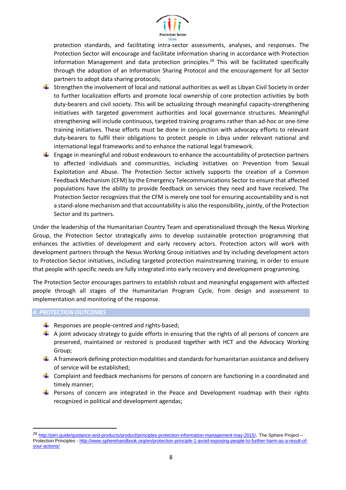

protection standards, and facilitating intra-sector assessments, analyses, and responses. The Protection Sector will encourage and facilitate information sharing in accordance with Protection Information Management and data protection principles. <sup>28</sup> This will be facilitated specifically through the adoption of an Information Sharing Protocol and the encouragement for all Sector partners to adopt data sharing protocols;

- $\ddot{\phantom{1}}$  Strengthen the involvement of local and national authorities as well as Libyan Civil Society in order to further localization efforts and promote local ownership of core protection activities by both duty-bearers and civil society. This will be actualizing through meaningful capacity-strengthening initiatives with targeted government authorities and local governance structures. Meaningful strengthening will include continuous, targeted training programs rather than ad-hoc or one-time training initiatives. These efforts must be done in conjunction with advocacy efforts to relevant duty-bearers to fulfil their obligations to protect people in Libya under relevant national and international legal frameworks and to enhance the national legal framework.
- $\ddot{\phantom{1}}$  Engage in meaningful and robust endeavours to enhance the accountability of protection partners to affected individuals and communities, including initiatives on Prevention from Sexual Exploitation and Abuse. The Protection Sector actively supports the creation of a Common Feedback Mechanism (CFM) by the Emergency Telecommunications Sector to ensure that affected populations have the ability to provide feedback on services they need and have received. The Protection Sector recognizes that the CFM is merely one tool for ensuring accountability and is not a stand-alone mechanism and that accountability is also the responsibility, jointly, of the Protection Sector and its partners.

Under the leadership of the Humanitarian Country Team and operationalized through the Nexus Working Group, the Protection Sector strategically aims to develop sustainable protection programming that enhances the activities of development and early recovery actors. Protection actors will work with development partners through the Nexus Working Group initiatives and by including development actors to Protection Sector initiatives, including targeted protection mainstreaming training, in order to ensure that people with specific needs are fully integrated into early recovery and development programming.

The Protection Sector encourages partners to establish robust and meaningful engagement with affected people through all stages of the Humanitarian Program Cycle, from design and assessment to implementation and monitoring of the response.

### <span id="page-8-0"></span>*4. PROTECTION OUTCOMES*

- Responses are people-centred and rights-based;
- $\uparrow$  A joint advocacy strategy to guide efforts in ensuring that the rights of all persons of concern are preserved, maintained or restored is produced together with HCT and the Advocacy Working Group;
- $\downarrow$  A framework defining protection modalities and standards for humanitarian assistance and delivery of service will be established;
- $\ddot{\phantom{1}}$  Complaint and feedback mechanisms for persons of concern are functioning in a coordinated and timely manner;
- **Persons of concern are integrated in the Peace and Development roadmap with their rights** recognized in political and development agendas;

<sup>28</sup> <http://pim.guide/guidance-and-products/product/principles-protection-information-management-may-2015/>. The Sphere Project – Protection Principles - [http://www.spherehandbook.org/en/protection-principle-1-avoid-exposing-people-to-further-harm-as-a-result-of](http://www.spherehandbook.org/en/protection-principle-1-avoid-exposing-people-to-further-harm-as-a-result-of-your-actions/)[your-actions/](http://www.spherehandbook.org/en/protection-principle-1-avoid-exposing-people-to-further-harm-as-a-result-of-your-actions/)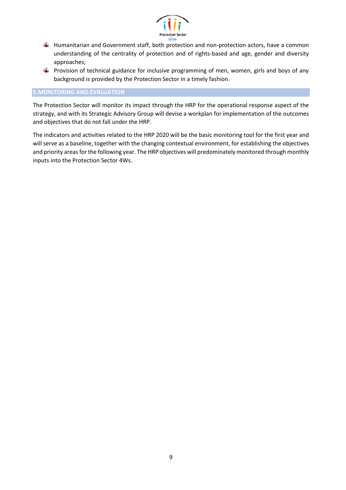

- $\ddot{\phantom{a}}$  Humanitarian and Government staff, both protection and non-protection actors, have a common understanding of the centrality of protection and of rights-based and age, gender and diversity approaches;
- **Provision of technical guidance for inclusive programming of men, women, girls and boys of any** background is provided by the Protection Sector in a timely fashion.

### <span id="page-9-0"></span>**5.MONITORING AND EVALUATION**

The Protection Sector will monitor its impact through the HRP for the operational response aspect of the strategy, and with its Strategic Advisory Group will devise a workplan for implementation of the outcomes and objectives that do not fall under the HRP.

The indicators and activities related to the HRP 2020 will be the basic monitoring tool for the first year and will serve as a baseline, together with the changing contextual environment, for establishing the objectives and priority areas for the following year. The HRP objectives will predominately monitored through monthly inputs into the Protection Sector 4Ws.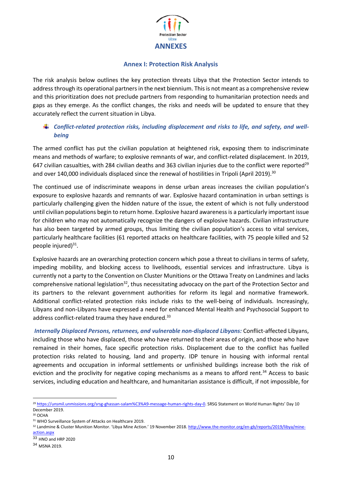

### <span id="page-10-0"></span>**Annex I: Protection Risk Analysis**

The risk analysis below outlines the key protection threats Libya that the Protection Sector intends to address through its operational partners in the next biennium. This is not meant as a comprehensive review and this prioritization does not preclude partners from responding to humanitarian protection needs and gaps as they emerge. As the conflict changes, the risks and needs will be updated to ensure that they accurately reflect the current situation in Libya.

### *Conflict-related protection risks, including displacement and risks to life, and safety, and wellbeing*

The armed conflict has put the civilian population at heightened risk, exposing them to indiscriminate means and methods of warfare; to explosive remnants of war, and conflict-related displacement. In 2019, 647 civilian casualties, with 284 civilian deaths and 363 civilian injuries due to the conflict were reported<sup>29</sup> and over 140,000 individuals displaced since the renewal of hostilities in Tripoli (April 2019).<sup>30</sup>

The continued use of indiscriminate weapons in dense urban areas increases the civilian population's exposure to explosive hazards and remnants of war. Explosive hazard contamination in urban settings is particularly challenging given the hidden nature of the issue, the extent of which is not fully understood until civilian populations begin to return home. Explosive hazard awareness is a particularly important issue for children who may not automatically recognize the dangers of explosive hazards. Civilian infrastructure has also been targeted by armed groups, thus limiting the civilian population's access to vital services, particularly healthcare facilities (61 reported attacks on healthcare facilities, with 75 people killed and 52 people injured)<sup>31</sup>.

Explosive hazards are an overarching protection concern which pose a threat to civilians in terms of safety, impeding mobility, and blocking access to livelihoods, essential services and infrastructure. Libya is currently not a party to the Convention on Cluster Munitions or the Ottawa Treaty on Landmines and lacks comprehensive national legislation<sup>32</sup>, thus necessitating advocacy on the part of the Protection Sector and its partners to the relevant government authorities for reform its legal and normative framework. Additional conflict-related protection risks include risks to the well-being of individuals. Increasingly, Libyans and non-Libyans have expressed a need for enhanced Mental Health and Psychosocial Support to address conflict-related trauma they have endured.<sup>33</sup>

*Internally Displaced Persons, returnees, and vulnerable non-displaced Libyans:* Conflict-affected Libyans, including those who have displaced, those who have returned to their areas of origin, and those who have remained in their homes, face specific protection risks. Displacement due to the conflict has fuelled protection risks related to housing, land and property. IDP tenure in housing with informal rental agreements and occupation in informal settlements or unfinished buildings increase both the risk of eviction and the proclivity for negative coping mechanisms as a means to afford rent.<sup>34</sup> Access to basic services, including education and healthcare, and humanitarian assistance is difficult, if not impossible, for

<sup>&</sup>lt;sup>29</sup> <https://unsmil.unmissions.org/srsg-ghassan-salam%C3%A9-message-human-rights-day-0></u>. SRSG Statement on World Human Rights' Day 10 December 2019.

<sup>30</sup> OCHA

<sup>31</sup> WHO Surveillance System of Attacks on Healthcare 2019.

<sup>32</sup> Landmine & Cluster Munition Monitor. 'Libya Mine Action.' 19 November 2018. [http://www.the-monitor.org/en-gb/reports/2019/libya/mine](http://www.the-monitor.org/en-gb/reports/2019/libya/mine-action.aspx)[action.aspx](http://www.the-monitor.org/en-gb/reports/2019/libya/mine-action.aspx)

<sup>33</sup> HNO and HRP 2020

<sup>34</sup> MSNA 2019.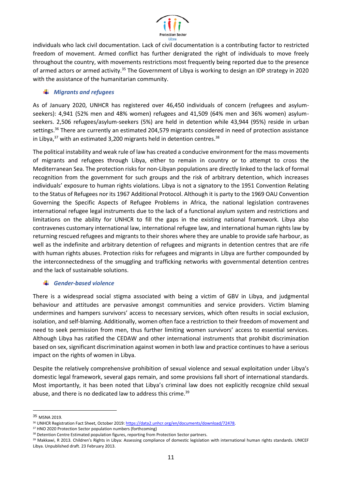

individuals who lack civil documentation. Lack of civil documentation is a contributing factor to restricted freedom of movement. Armed conflict has further denigrated the right of individuals to move freely throughout the country, with movements restrictions most frequently being reported due to the presence of armed actors or armed activity.<sup>35</sup> The Government of Libya is working to design an IDP strategy in 2020 with the assistance of the humanitarian community.

### *Migrants and refugees*

As of January 2020, UNHCR has registered over 46,450 individuals of concern (refugees and asylumseekers): 4,941 (52% men and 48% women) refugees and 41,509 (64% men and 36% women) asylumseekers. 2,506 refugees/asylum-seekers (5%) are held in detention while 43,944 (95%) reside in urban settings.<sup>36</sup> There are currently an estimated 204,579 migrants considered in need of protection assistance in Libya, $37$  with an estimated 3,200 migrants held in detention centres. $38$ 

The political instability and weak rule of law has created a conducive environment for the mass movements of migrants and refugees through Libya, either to remain in country or to attempt to cross the Mediterranean Sea. The protection risks for non-Libyan populations are directly linked to the lack of formal recognition from the government for such groups and the risk of arbitrary detention, which increases individuals' exposure to human rights violations. Libya is not a signatory to the 1951 Convention Relating to the Status of Refugees nor its 1967 Additional Protocol. Although it is party to the 1969 OAU Convention Governing the Specific Aspects of Refugee Problems in Africa, the national legislation contravenes international refugee legal instruments due to the lack of a functional asylum system and restrictions and limitations on the ability for UNHCR to fill the gaps in the existing national framework. Libya also contravenes customary international law, international refugee law, and international human rights law by returning rescued refugees and migrants to their shores where they are unable to provide safe harbour, as well as the indefinite and arbitrary detention of refugees and migrants in detention centres that are rife with human rights abuses. Protection risks for refugees and migrants in Libya are further compounded by the interconnectedness of the smuggling and trafficking networks with governmental detention centres and the lack of sustainable solutions.

### *Gender-based violence*

There is a widespread social stigma associated with being a victim of GBV in Libya, and judgmental behaviour and attitudes are pervasive amongst communities and service providers. Victim blaming undermines and hampers survivors' access to necessary services, which often results in social exclusion, isolation, and self-blaming. Additionally, women often face a restriction to their freedom of movement and need to seek permission from men, thus further limiting women survivors' access to essential services. Although Libya has ratified the CEDAW and other international instruments that prohibit discrimination based on sex, significant discrimination against women in both law and practice continues to have a serious impact on the rights of women in Libya.

Despite the relatively comprehensive prohibition of sexual violence and sexual exploitation under Libya's domestic legal framework, several gaps remain, and some provisions fall short of international standards. Most importantly, it has been noted that Libya's criminal law does not explicitly recognize child sexual abuse, and there is no dedicated law to address this crime.<sup>39</sup>

<sup>35</sup> MSNA 2019.

<sup>36</sup> UNHCR Registration Fact Sheet, October 2019: https://data2.unhcr.org/en/documents/download/72478.

<sup>37</sup> HNO 2020 Protection Sector population numbers (forthcoming)

<sup>38</sup> Detention Centre Estimated population figures, reporting from Protection Sector partners.

<sup>39</sup> Makkawi, R 2013. Children's Rights in Libya: Assessing compliance of domestic legislation with international human rights standards. UNICEF Libya. Unpublished draft. 23 February 2013.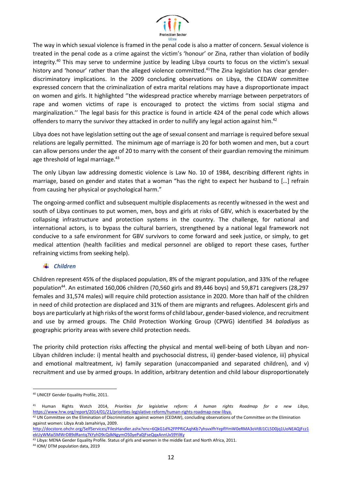

The way in which sexual violence is framed in the penal code is also a matter of concern. Sexual violence is treated in the penal code as a crime against the victim's 'honour' or Zina, rather than violation of bodily integrity.<sup>40</sup> This may serve to undermine justice by leading Libya courts to focus on the victim's sexual history and 'honour' rather than the alleged violence committed.<sup>41</sup>The Zina legislation has clear genderdiscriminatory implications. In the 2009 concluding observations on Libya, the CEDAW committee expressed concern that the criminalization of extra marital relations may have a disproportionate impact on women and girls. It highlighted ''the widespread practice whereby marriage between perpetrators of rape and women victims of rape is encouraged to protect the victims from social stigma and marginalization.'' The legal basis for this practice is found in article 424 of the penal code which allows offenders to marry the survivor they attacked in order to nullify any legal action against him.<sup>42</sup>

Libya does not have legislation setting out the age of sexual consent and marriage is required before sexual relations are legally permitted. The minimum age of marriage is 20 for both women and men, but a court can allow persons under the age of 20 to marry with the consent of their guardian removing the minimum age threshold of legal marriage.<sup>43</sup>

The only Libyan law addressing domestic violence is Law No. 10 of 1984, describing different rights in marriage, based on gender and states that a woman "has the right to expect her husband to […] refrain from causing her physical or psychological harm."

The ongoing-armed conflict and subsequent multiple displacements as recently witnessed in the west and south of Libya continues to put women, men, boys and girls at risks of GBV, which is exacerbated by the collapsing infrastructure and protection systems in the country. The challenge, for national and international actors, is to bypass the cultural barriers, strengthened by a national legal framework not conducive to a safe environment for GBV survivors to come forward and seek justice, or simply, to get medical attention (health facilities and medical personnel are obliged to report these cases, further refraining victims from seeking help).

### *Children*

Children represent 45% of the displaced population, 8% of the migrant population, and 33% of the refugee population<sup>44</sup>. An estimated 160,006 children (70,560 girls and 89,446 boys) and 59,871 caregivers (28,297 females and 31,574 males) will require child protection assistance in 2020. More than half of the children in need of child protection are displaced and 31% of them are migrants and refugees. Adolescent girls and boys are particularly at high risks of the worst forms of child labour, gender-based violence, and recruitment and use by armed groups. The Child Protection Working Group (CPWG) identified 34 *baladiyas* as geographic priority areas with severe child protection needs.

The priority child protection risks affecting the physical and mental well-being of both Libyan and non-Libyan children include: i) mental health and psychosocial distress, ii) gender-based violence, iii) physical and emotional maltreatment, iv) family separation (unaccompanied and separated children), and v) recruitment and use by armed groups. In addition, arbitrary detention and child labour disproportionately

<sup>40</sup> UNICEF Gender Equality Profile, 2011.

<sup>41</sup> Human Rights Watch 2014, *Priorities for legislative reform: A human rights Roadmap for a new Libya*, [https://www.hrw.org/report/2014/01/21/priorities-legislative-reform/human-rights-roadmap-new-libya.](https://www.hrw.org/report/2014/01/21/priorities-legislative-reform/human-rights-roadmap-new-libya)

<sup>42</sup> UN Committee on the Elimination of Discrimination against women (CEDAW), concluding observations of the Committee on the Elimination against women: Libya Arab Jamahiriya, 2009.

[http://docstore.ohchr.org/SelfServices/FilesHandler.ashx?enc=6QkG1d%2FPPRiCAqhKb7yhsvxlfhYepfIYmW0eRMA3oVt8J1CL5D0jq1UoNEAQjFcz1](http://docstore.ohchr.org/SelfServices/FilesHandler.ashx?enc=6QkG1d%2FPPRiCAqhKb7yhsvxlfhYepfIYmW0eRMA3oVt8J1CL5D0jq1UoNEAQjFcz1ekUyWMai5MWrD89dRantq7kYyhD9cQdkNgymO50yePa0jFseQqxAnnUx59YilKy) [ekUyWMai5MWrD89dRantq7kYyhD9cQdkNgymO50yePa0jFseQqxAnnUx59YilKy](http://docstore.ohchr.org/SelfServices/FilesHandler.ashx?enc=6QkG1d%2FPPRiCAqhKb7yhsvxlfhYepfIYmW0eRMA3oVt8J1CL5D0jq1UoNEAQjFcz1ekUyWMai5MWrD89dRantq7kYyhD9cQdkNgymO50yePa0jFseQqxAnnUx59YilKy)

<sup>43</sup> Libya: MENA Gender Equality Profile. Status of girls and women in the middle East and North Africa, 2011.

<sup>44</sup> IOM/ DTM population data, 2019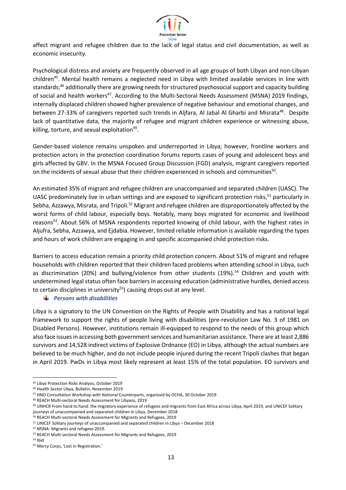

affect migrant and refugee children due to the lack of legal status and civil documentation, as well as economic insecurity.

Psychological distress and anxiety are frequently observed in all age groups of both Libyan and non-Libyan children<sup>45</sup>. Mental health remains a neglected need in Libya with limited available services in line with standards;<sup>46</sup> additionally there are growing needs for structured psychosocial support and capacity building of social and health workers<sup>47</sup>. According to the Multi-Sectoral Needs Assessment (MSNA) 2019 findings, internally displaced children showed higher prevalence of negative behaviour and emotional changes, and between 27-33% of caregivers reported such trends in Aljfara, Al Jabal Al Gharbi and Misrata<sup>48</sup>. Despite lack of quantitative data, the majority of refugee and migrant children experience or witnessing abuse, killing, torture, and sexual exploitation<sup>49</sup>.

Gender-based violence remains unspoken and underreported in Libya; however, frontline workers and protection actors in the protection coordination forums reports cases of young and adolescent boys and girls affected by GBV. In the MSNA Focused Group Discussion (FGD) analysis, migrant caregivers reported on the incidents of sexual abuse that their children experienced in schools and communities<sup>50</sup>.

An estimated 35% of migrant and refugee children are unaccompanied and separated children (UASC). The UASC predominately live in urban settings and are exposed to significant protection risks,  $51$  particularly in Sebha, Azzawya, Misrata, and Tripoli.<sup>52</sup> Migrant and refugee children are disproportionately affected by the worst forms of child labour, especially boys. Notably, many boys migrated for economic and livelihood reasons<sup>53</sup>. About 56% of MSNA respondents reported knowing of child labour, with the highest rates in Aljufra, Sebha, Azzawya, and Ejdabia. However, limited reliable information is available regarding the types and hours of work children are engaging in and specific accompanied child protection risks.

Barriers to access education remain a priority child protection concern. About 51% of migrant and refugee households with children reported that their children faced problems when attending school in Libya, such as discrimination (20%) and bullying/violence from other students (19%).<sup>54</sup> Children and youth with undetermined legal status often face barriers in accessing education (administrative hurdles, denied access to certain disciplines in university<sup>55</sup>) causing drops out at any level.

### *Persons with disabilities*

Libya is a signatory to the UN Convention on the Rights of People with Disability and has a national legal framework to support the rights of people living with disabilities (pre-revolution Law No. 3 of 1981 on Disabled Persons). However, institutions remain ill-equipped to respond to the needs of this group which also face issues in accessing both government services and humanitarian assistance. There are at least 2,886 survivors and 14,528 indirect victims of Explosive Ordnance (EO) in Libya, although the actual numbers are believed to be much higher, and do not include people injured during the recent Tripoli clashes that began in April 2019. PwDs in Libya most likely represent at least 15% of the total population. EO survivors and

<sup>50</sup> REACH Multi-sectoral Needs Assessment for Migrants and Refugees, 2019

<sup>52</sup> MSNA- Migrants and refugees 2019.

<sup>45</sup> Libya Protection Risks Analysis, October 2019

<sup>46</sup> Health Sector Libya, Bulletin, November 2019

<sup>47</sup> HNO Consultation Workshop with National Counterparts, organized by OCHA, 30 October 2019

<sup>48</sup> REACH Multi-sectoral Needs Assessment for Libyans, 2019

<sup>&</sup>lt;sup>49</sup> UNHCR From hand to hand: the migratory experience of refugees and migrants from East Africa across Libya, April 2019, and UNICEF Solitary journeys of unaccompanied and separated children in Libya, December 2018

<sup>51</sup> UNICEF Solitary journeys of unaccompanied and separated children in Libya – December 2018

<sup>53</sup> REACH Multi-sectoral Needs Assessment for Migrants and Refugees, 2019

<sup>54</sup> Ibid

<sup>55</sup> Mercy Corps, 'Lost in Registration.'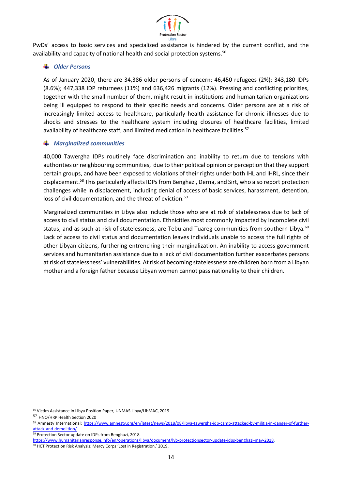

PwDs' access to basic services and specialized assistance is hindered by the current conflict, and the availability and capacity of national health and social protection systems.<sup>56</sup>

### *Older Persons*

As of January 2020, there are 34,386 older persons of concern: 46,450 refugees (2%); 343,180 IDPs (8.6%); 447,338 IDP returnees (11%) and 636,426 migrants (12%). Pressing and conflicting priorities, together with the small number of them, might result in institutions and humanitarian organizations being ill equipped to respond to their specific needs and concerns. Older persons are at a risk of increasingly limited access to healthcare, particularly health assistance for chronic illnesses due to shocks and stresses to the healthcare system including closures of healthcare facilities, limited availability of healthcare staff, and liimited medication in healthcare facilities.<sup>57</sup>

### *Marginalized communities*

40,000 Tawergha IDPs routinely face discrimination and inability to return due to tensions with authorities or neighbouring communities, due to their political opinion or perception that they support certain groups, and have been exposed to violations of their rights under both IHL and IHRL, since their displacement.<sup>58</sup> This particularly affects IDPs from Benghazi, Derna, and Sirt, who also report protection challenges while in displacement, including denial of access of basic services, harassment, detention, loss of civil documentation, and the threat of eviction.<sup>59</sup>

<span id="page-14-0"></span>Marginalized communities in Libya also include those who are at risk of statelessness due to lack of access to civil status and civil documentation. Ethnicities most commonly impacted by incomplete civil status, and as such at risk of statelessness, are Tebu and Tuareg communities from southern Libya.<sup>60</sup> Lack of access to civil status and documentation leaves individuals unable to access the full rights of other Libyan citizens, furthering entrenching their marginalization. An inability to access government services and humanitarian assistance due to a lack of civil documentation further exacerbates persons at risk of statelessness' vulnerabilities. At risk of becoming statelessness are children born from a Libyan mother and a foreign father because Libyan women cannot pass nationality to their children.

<sup>56</sup> Victim Assistance in Libya Position Paper, UNMAS Libya/LibMAC, 2019

<sup>57</sup> HNO/HRP Health Section 2020

<sup>58</sup> Amnesty International: [https://www.amnesty.org/en/latest/news/2018/08/libya-tawergha-idp-camp-attacked-by-militia-in-danger-of-further](https://www.amnesty.org/en/latest/news/2018/08/libya-tawergha-idp-camp-attacked-by-militia-in-danger-of-further-attack-and-demolition/)[attack-and-demolition/](https://www.amnesty.org/en/latest/news/2018/08/libya-tawergha-idp-camp-attacked-by-militia-in-danger-of-further-attack-and-demolition/)

<sup>59</sup> Protection Sector update on IDPs from Benghazi, 2018.

[https://www.humanitarianresponse.info/en/operations/libya/document/lyb-protectionsector-update-idps-benghazi-may-2018.](https://www.humanitarianresponse.info/en/operations/libya/document/lyb-protectionsector-update-idps-benghazi-may-2018)

<sup>&</sup>lt;sup>60</sup> HCT Protection Risk Analysis; Mercy Corps 'Lost in Registration,' 2019.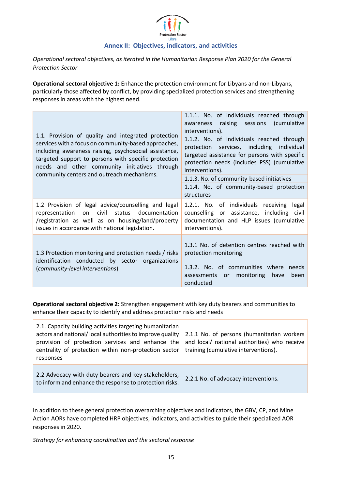

*Operational sectoral objectives, as iterated in the Humanitarian Response Plan 2020 for the General Protection Sector*

**Operational sectoral objective 1:** Enhance the protection environment for Libyans and non-Libyans, particularly those affected by conflict, by providing specialized protection services and strengthening responses in areas with the highest need.

| 1.1. Provision of quality and integrated protection<br>services with a focus on community-based approaches,<br>including awareness raising, psychosocial assistance,<br>targeted support to persons with specific protection<br>needs and other community initiatives through<br>community centers and outreach mechanisms. | 1.1.1. No. of individuals reached through<br>raising sessions<br>(cumulative<br>awareness<br>interventions).<br>1.1.2. No. of individuals reached through<br>protection services, including individual<br>targeted assistance for persons with specific<br>protection needs (includes PSS) (cumulative<br>interventions). |
|-----------------------------------------------------------------------------------------------------------------------------------------------------------------------------------------------------------------------------------------------------------------------------------------------------------------------------|---------------------------------------------------------------------------------------------------------------------------------------------------------------------------------------------------------------------------------------------------------------------------------------------------------------------------|
|                                                                                                                                                                                                                                                                                                                             | 1.1.3. No. of community-based initiatives                                                                                                                                                                                                                                                                                 |
|                                                                                                                                                                                                                                                                                                                             | 1.1.4. No. of community-based protection<br>structures                                                                                                                                                                                                                                                                    |
| 1.2 Provision of legal advice/counselling and legal<br>representation on civil status documentation<br>/registration as well as on housing/land/property<br>issues in accordance with national legislation.                                                                                                                 | 1.2.1. No. of individuals receiving<br>legal<br>counselling or assistance, including civil<br>documentation and HLP issues (cumulative<br>interventions).                                                                                                                                                                 |
| 1.3 Protection monitoring and protection needs / risks<br>identification conducted by sector organizations                                                                                                                                                                                                                  | 1.3.1 No. of detention centres reached with<br>protection monitoring                                                                                                                                                                                                                                                      |
| (community-level interventions)                                                                                                                                                                                                                                                                                             | 1.3.2. No. of communities where<br>needs<br>monitoring<br>have<br>been<br>assessments or<br>conducted                                                                                                                                                                                                                     |

**Operational sectoral objective 2:** Strengthen engagement with key duty bearers and communities to enhance their capacity to identify and address protection risks and needs

| 2.1. Capacity building activities targeting humanitarian<br>actors and national/local authorities to improve quality<br>provision of protection services and enhance the<br>centrality of protection within non-protection sector<br>responses | 2.1.1 No. of persons (humanitarian workers<br>and local/ national authorities) who receive<br>training (cumulative interventions). |
|------------------------------------------------------------------------------------------------------------------------------------------------------------------------------------------------------------------------------------------------|------------------------------------------------------------------------------------------------------------------------------------|
| 2.2 Advocacy with duty bearers and key stakeholders,<br>to inform and enhance the response to protection risks.                                                                                                                                | 2.2.1 No. of advocacy interventions.                                                                                               |

In addition to these general protection overarching objectives and indicators, the GBV, CP, and Mine Action AORs have completed HRP objectives, indicators, and activities to guide their specialized AOR responses in 2020.

*Strategy for enhancing coordination and the sectoral response*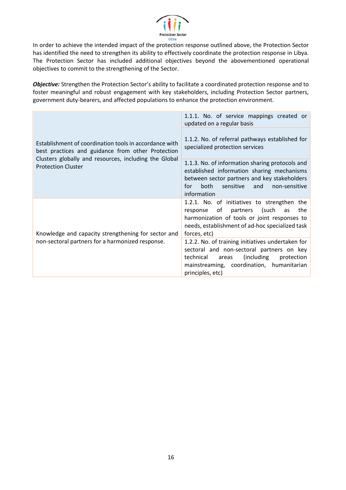

In order to achieve the intended impact of the protection response outlined above, the Protection Sector has identified the need to strengthen its ability to effectively coordinate the protection response in Libya. The Protection Sector has included additional objectives beyond the abovementioned operational objectives to commit to the strengthening of the Sector.

*Objective:* Strengthen the Protection Sector's ability to facilitate a coordinated protection response and to foster meaningful and robust engagement with key stakeholders, including Protection Sector partners, government duty-bearers, and affected populations to enhance the protection environment.

|                                                                                                             | 1.1.1. No. of service mappings created or<br>updated on a regular basis                                                                                                                                            |
|-------------------------------------------------------------------------------------------------------------|--------------------------------------------------------------------------------------------------------------------------------------------------------------------------------------------------------------------|
| Establishment of coordination tools in accordance with<br>best practices and guidance from other Protection | 1.1.2. No. of referral pathways established for<br>specialized protection services                                                                                                                                 |
| Clusters globally and resources, including the Global<br><b>Protection Cluster</b>                          | 1.1.3. No. of information sharing protocols and<br>established information sharing mechanisms<br>between sector partners and key stakeholders<br>both<br>and<br>sensitive<br>non-sensitive<br>for<br>information   |
| Knowledge and capacity strengthening for sector and                                                         | 1.2.1. No. of initiatives to strengthen the<br>(such<br>of<br>partners<br>the<br>response<br>as<br>harmonization of tools or joint responses to<br>needs, establishment of ad-hoc specialized task<br>forces, etc) |
| non-sectoral partners for a harmonized response.                                                            | 1.2.2. No. of training initiatives undertaken for<br>sectoral and non-sectoral partners on key<br>technical<br>(including)<br>areas<br>protection<br>mainstreaming, coordination, humanitarian<br>principles, etc) |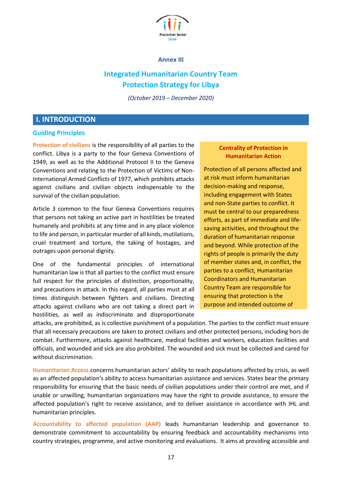

### **Annex III**

# **Integrated Humanitarian Country Team Protection Strategy for Libya**

*(October 2019 – December 2020)* 

# <span id="page-17-0"></span>**I. INTRODUCTION**

### **Guiding Principles**

**Protection of civilians** is the responsibility of all parties to the conflict. Libya is a party to the four Geneva Conventions of 1949, as well as to the Additional Protocol II to the Geneva Conventions and relating to the Protection of Victims of Non-International Armed Conflicts of 1977, which prohibits attacks against civilians and civilian objects indispensable to the survival of the civilian population.

Article 3 common to the four Geneva Conventions requires that persons not taking an active part in hostilities be treated humanely and prohibits at any time and in any place violence to life and person, in particular murder of all kinds, mutilations, cruel treatment and torture, the taking of hostages, and outrages upon personal dignity.

One of the fundamental principles of international humanitarian law is that all parties to the conflict must ensure full respect for the principles of distinction, proportionality, and precautions in attack. In this regard, all parties must at all times distinguish between fighters and civilians. Directing attacks against civilians who are not taking a direct part in hostilities, as well as indiscriminate and disproportionate

### **Centrality of Protection in Humanitarian Action**

Protection of all persons affected and at risk must inform humanitarian decision-making and response, including engagement with States and non-State parties to conflict. It must be central to our preparedness efforts, as part of immediate and lifesaving activities, and throughout the duration of humanitarian response and beyond. While protection of the rights of people is primarily the duty of member states and, in conflict, the parties to a conflict, Humanitarian Coordinators and Humanitarian Country Team are responsible for ensuring that protection is the purpose and intended outcome of

attacks, are prohibited, as is collective punishment of a population. The parties to the conflict must ensure that all necessary precautions are taken to protect civilians and other protected persons, including hors de combat. Furthermore, attacks against healthcare, medical facilities and workers, education facilities and officials, and wounded and sick are also prohibited. The wounded and sick must be collected and cared for without discrimination.

**Humanitarian Access** concerns humanitarian actors' ability to reach populations affected by crisis, as well as an affected population's ability to access humanitarian assistance and services. States bear the primary responsibility for ensuring that the basic needs of civilian populations under their control are met, and if unable or unwilling, humanitarian organizations may have the right to provide assistance, to ensure the affected population's right to receive assistance, and to deliver assistance in accordance with IHL and humanitarian principles.

**Accountability to affected population (AAP)** leads humanitarian leadership and governance to demonstrate commitment to accountability by ensuring feedback and accountability mechanisms into country strategies, programme, and active monitoring and evaluations. It aims at providing accessible and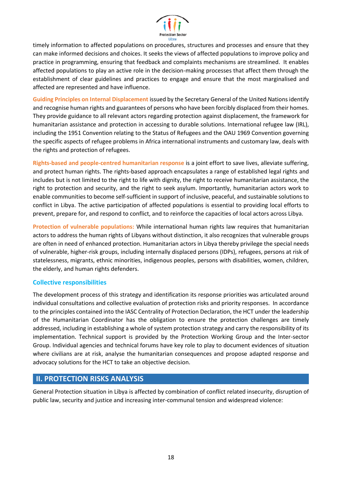

timely information to affected populations on procedures, structures and processes and ensure that they can make informed decisions and choices. It seeks the views of affected populations to improve policy and practice in programming, ensuring that feedback and complaints mechanisms are streamlined. It enables affected populations to play an active role in the decision-making processes that affect them through the establishment of clear guidelines and practices to engage and ensure that the most marginalised and affected are represented and have influence.

**Guiding Principles on Internal Displacement** issued by the Secretary General of the United Nations identify and recognise human rights and guarantees of persons who have been forcibly displaced from their homes. They provide guidance to all relevant actors regarding protection against displacement, the framework for humanitarian assistance and protection in accessing to durable solutions. International refugee law (IRL), including the 1951 Convention relating to the Status of Refugees and the OAU 1969 Convention governing the specific aspects of refugee problems in Africa international instruments and customary law, deals with the rights and protection of refugees.

**Rights-based and people-centred humanitarian response** is a joint effort to save lives, alleviate suffering, and protect human rights. The rights-based approach encapsulates a range of established legal rights and includes but is not limited to the right to life with dignity, the right to receive humanitarian assistance, the right to protection and security, and the right to seek asylum. Importantly, humanitarian actors work to enable communities to become self-sufficient in support of inclusive, peaceful, and sustainable solutions to conflict in Libya. The active participation of affected populations is essential to providing local efforts to prevent, prepare for, and respond to conflict, and to reinforce the capacities of local actors across Libya.

**Protection of vulnerable populations:** While international human rights law requires that humanitarian actors to address the human rights of Libyans without distinction, it also recognizes that vulnerable groups are often in need of enhanced protection. Humanitarian actors in Libya thereby privilege the special needs of vulnerable, higher-risk groups, including internally displaced persons (IDPs), refugees, persons at risk of statelessness, migrants, ethnic minorities, indigenous peoples, persons with disabilities, women, children, the elderly, and human rights defenders.

### **Collective responsibilities**

The development process of this strategy and identification its response priorities was articulated around individual consultations and collective evaluation of protection risks and priority responses. In accordance to the principles contained into the IASC Centrality of Protection Declaration, the HCT under the leadership of the Humanitarian Coordinator has the obligation to ensure the protection challenges are timely addressed, including in establishing a whole of system protection strategy and carry the responsibility of its implementation. Technical support is provided by the Protection Working Group and the Inter-sector Group. Individual agencies and technical forums have key role to play to document evidences of situation where civilians are at risk, analyse the humanitarian consequences and propose adapted response and advocacy solutions for the HCT to take an objective decision.

### **II. PROTECTION RISKS ANALYSIS**

General Protection situation in Libya is affected by combination of conflict related insecurity, disruption of public law, security and justice and increasing inter-communal tension and widespread violence: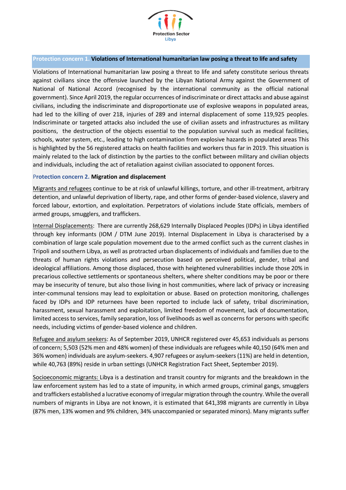

### **Protection concern 1. Violations of International humanitarian law posing a threat to life and safety**

Violations of International humanitarian law posing a threat to life and safety constitute serious threats against civilians since the offensive launched by the Libyan National Army against the Government of National of National Accord (recognised by the international community as the official national government). Since April 2019, the regular occurrences of indiscriminate or direct attacks and abuse against civilians, including the indiscriminate and disproportionate use of explosive weapons in populated areas, had led to the killing of over 218, injuries of 289 and internal displacement of some 119,925 peoples. Indiscriminate or targeted attacks also included the use of civilian assets and infrastructures as military positions, the destruction of the objects essential to the population survival such as medical facilities, schools, water system, etc., leading to high contamination from explosive hazards in populated areas This is highlighted by the 56 registered attacks on health facilities and workers thus far in 2019. This situation is mainly related to the lack of distinction by the parties to the conflict between military and civilian objects and individuals, including the act of retaliation against civilian associated to opponent forces.

### P**rotection concern 2. Migration and displacement**

Migrants and refugees continue to be at risk of unlawful killings, torture, and other ill-treatment, arbitrary detention, and unlawful deprivation of liberty, rape, and other forms of gender-based violence, slavery and forced labour, extortion, and exploitation. Perpetrators of violations include State officials, members of armed groups, smugglers, and traffickers.

Internal Displacements: There are currently 268,629 Internally Displaced Peoples (IDPs) in Libya identified through key informants (IOM / DTM June 2019). Internal Displacement in Libya is characterised by a combination of large scale population movement due to the armed conflict such as the current clashes in Tripoli and southern Libya, as well as protracted urban displacements of individuals and families due to the threats of human rights violations and persecution based on perceived political, gender, tribal and ideological affiliations. Among those displaced, those with heightened vulnerabilities include those 20% in precarious collective settlements or spontaneous shelters, where shelter conditions may be poor or there may be insecurity of tenure, but also those living in host communities, where lack of privacy or increasing inter-communal tensions may lead to exploitation or abuse. Based on protection monitoring, challenges faced by IDPs and IDP returnees have been reported to include lack of safety, tribal discrimination, harassment, sexual harassment and exploitation, limited freedom of movement, lack of documentation, limited access to services, family separation, loss of livelihoods as well as concerns for persons with specific needs, including victims of gender-based violence and children.

Refugee and asylum seekers: As of September 2019, UNHCR registered over 45,653 individuals as persons of concern; 5,503 (52% men and 48% women) of these individuals are refugees while 40,150 (64% men and 36% women) individuals are asylum-seekers. 4,907 refugees or asylum-seekers (11%) are held in detention, while 40,763 (89%) reside in urban settings (UNHCR Registration Fact Sheet, September 2019).

Socioeconomic migrants: Libya is a destination and transit country for migrants and the breakdown in the law enforcement system has led to a state of impunity, in which armed groups, criminal gangs, smugglers and traffickers established a lucrative economy of irregular migration through the country. While the overall numbers of migrants in Libya are not known, it is estimated that 641,398 migrants are currently in Libya (87% men, 13% women and 9% children, 34% unaccompanied or separated minors). Many migrants suffer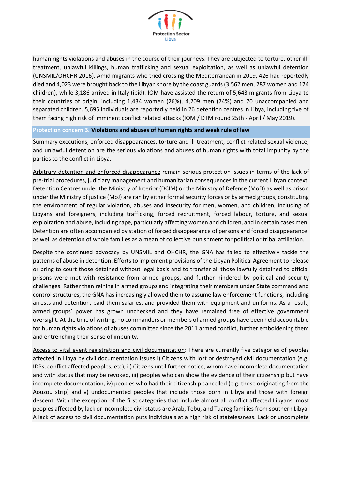

human rights violations and abuses in the course of their journeys. They are subjected to torture, other illtreatment, unlawful killings, human trafficking and sexual exploitation, as well as unlawful detention (UNSMIL/OHCHR 2016). Amid migrants who tried crossing the Mediterranean in 2019, 426 had reportedly died and 4,023 were brought back to the Libyan shore by the coast guards (3,562 men, 287 women and 174 children), while 3,186 arrived in Italy (ibid). IOM have assisted the return of 5,643 migrants from Libya to their countries of origin, including 1,434 women (26%), 4,209 men (74%) and 70 unaccompanied and separated children. 5,695 individuals are reportedly held in 26 detention centres in Libya, including five of them facing high risk of imminent conflict related attacks (IOM / DTM round 25th - April / May 2019).

### **Protection concern 3. Violations and abuses of human rights and weak rule of law**

Summary executions, enforced disappearances, torture and ill-treatment, conflict-related sexual violence, and unlawful detention are the serious violations and abuses of human rights with total impunity by the parties to the conflict in Libya.

Arbitrary detention and enforced disappearance remain serious protection issues in terms of the lack of pre-trial procedures, judiciary management and humanitarian consequences in the current Libyan context. Detention Centres under the Ministry of Interior (DCIM) or the Ministry of Defence (MoD) as well as prison under the Ministry of justice (MoJ) are ran by either formal security forces or by armed groups, constituting the environment of regular violation, abuses and insecurity for men, women, and children, including of Libyans and foreigners, including trafficking, forced recruitment, forced labour, torture, and sexual exploitation and abuse, including rape, particularly affecting women and children, and in certain cases men. Detention are often accompanied by station of forced disappearance of persons and forced disappearance, as well as detention of whole families as a mean of collective punishment for political or tribal affiliation.

Despite the continued advocacy by UNSMIL and OHCHR, the GNA has failed to effectively tackle the patterns of abuse in detention. Efforts to implement provisions of the Libyan Political Agreement to release or bring to court those detained without legal basis and to transfer all those lawfully detained to official prisons were met with resistance from armed groups, and further hindered by political and security challenges. Rather than reining in armed groups and integrating their members under State command and control structures, the GNA has increasingly allowed them to assume law enforcement functions, including arrests and detention, paid them salaries, and provided them with equipment and uniforms. As a result, armed groups' power has grown unchecked and they have remained free of effective government oversight. At the time of writing, no commanders or members of armed groups have been held accountable for human rights violations of abuses committed since the 2011 armed conflict, further emboldening them and entrenching their sense of impunity.

Access to vital event registration and civil documentation: There are currently five categories of peoples affected in Libya by civil documentation issues i) Citizens with lost or destroyed civil documentation (e.g. IDPs, conflict affected peoples, etc), ii) Citizens until further notice, whom have incomplete documentation and with status that may be revoked, iii) peoples who can show the evidence of their citizenship but have incomplete documentation, iv) peoples who had their citizenship cancelled (e.g. those originating from the Aouzou strip) and v) undocumented peoples that include those born in Libya and those with foreign descent. With the exception of the first categories that include almost all conflict affected Libyans, most peoples affected by lack or incomplete civil status are Arab, Tebu, and Tuareg families from southern Libya. A lack of access to civil documentation puts individuals at a high risk of statelessness. Lack or uncomplete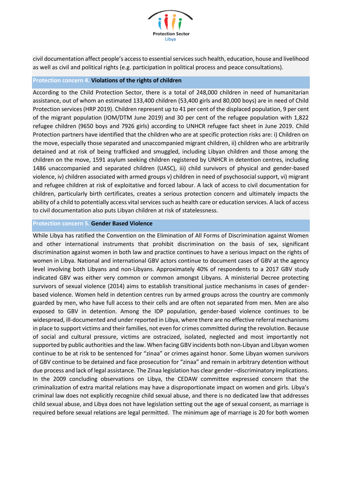

civil documentation affect people's access to essential services such health, education, house and livelihood as well as civil and political rights (e.g. participation in political process and peace consultations).

### **Protection concern 4. Violations of the rights of children**

According to the Child Protection Sector, there is a total of 248,000 children in need of humanitarian assistance, out of whom an estimated 133,400 children (53,400 girls and 80,000 boys) are in need of Child Protection services (HRP 2019). Children represent up to 41 per cent of the displaced population, 9 per cent of the migrant population (IOM/DTM June 2019) and 30 per cent of the refugee population with 1,822 refugee children (9650 boys and 7926 girls) according to UNHCR refugee fact sheet in June 2019. Child Protection partners have identified that the children who are at specific protection risks are: i) Children on the move, especially those separated and unaccompanied migrant children, ii) children who are arbitrarily detained and at risk of being trafficked and smuggled, including Libyan children and those among the children on the move, 1591 asylum seeking children registered by UNHCR in detention centres, including 1486 unaccompanied and separated children (UASC), iii) child survivors of physical and gender-based violence, iv) children associated with armed groups v) children in need of psychosocial support, vi) migrant and refugee children at risk of exploitative and forced labour. A lack of access to civil documentation for children, particularly birth certificates, creates a serious protection concern and ultimately impacts the ability of a child to potentially access vital services such as health care or education services. A lack of access to civil documentation also puts Libyan children at risk of statelessness.

### **Protection concern 5. Gender Based Violence**

While Libya has ratified the Convention on the Elimination of All Forms of Discrimination against Women and other international instruments that prohibit discrimination on the basis of sex, significant discrimination against women in both law and practice continues to have a serious impact on the rights of women in Libya. National and international GBV actors continue to document cases of GBV at the agency level involving both Libyans and non-Libyans. Approximately 40% of respondents to a 2017 GBV study indicated GBV was either very common or common amongst Libyans. A ministerial Decree protecting survivors of sexual violence (2014) aims to establish transitional justice mechanisms in cases of genderbased violence. Women held in detention centres run by armed groups across the country are commonly guarded by men, who have full access to their cells and are often not separated from men. Men are also exposed to GBV in detention. Among the IDP population, gender-based violence continues to be widespread, ill-documented and under reported in Libya, where there are no effective referral mechanisms in place to support victims and their families, not even for crimes committed during the revolution. Because of social and cultural pressure, victims are ostracized, isolated, neglected and most importantly not supported by public authorities and the law. When facing GBV incidents both non-Libyan and Libyan women continue to be at risk to be sentenced for "zinaa" or crimes against honor. Some Libyan women survivors of GBV continue to be detained and face prosecution for "zinaa" and remain in arbitrary detention without due process and lack of legal assistance. The Zinaa legislation has clear gender –discriminatory implications. In the 2009 concluding observations on Libya, the CEDAW committee expressed concern that the criminalization of extra marital relations may have a disproportionate impact on women and girls. Libya's criminal law does not explicitly recognize child sexual abuse, and there is no dedicated law that addresses child sexual abuse, and Libya does not have legislation setting out the age of sexual consent, as marriage is required before sexual relations are legal permitted. The minimum age of marriage is 20 for both women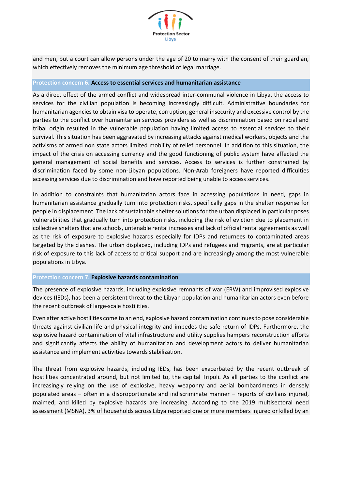

and men, but a court can allow persons under the age of 20 to marry with the consent of their guardian, which effectively removes the minimum age threshold of legal marriage.

### **Protection concern 6. Access to essential services and humanitarian assistance**

As a direct effect of the armed conflict and widespread inter-communal violence in Libya, the access to services for the civilian population is becoming increasingly difficult. Administrative boundaries for humanitarian agencies to obtain visa to operate, corruption, general insecurity and excessive control by the parties to the conflict over humanitarian services providers as well as discrimination based on racial and tribal origin resulted in the vulnerable population having limited access to essential services to their survival. This situation has been aggravated by increasing attacks against medical workers, objects and the activisms of armed non state actors limited mobility of relief personnel. In addition to this situation, the impact of the crisis on accessing currency and the good functioning of public system have affected the general management of social benefits and services. Access to services is further constrained by discrimination faced by some non-Libyan populations. Non-Arab foreigners have reported difficulties accessing services due to discrimination and have reported being unable to access services.

In addition to constraints that humanitarian actors face in accessing populations in need, gaps in humanitarian assistance gradually turn into protection risks, specifically gaps in the shelter response for people in displacement. The lack of sustainable shelter solutions for the urban displaced in particular poses vulnerabilities that gradually turn into protection risks, including the risk of eviction due to placement in collective shelters that are schools, untenable rental increases and lack of official rental agreements as well as the risk of exposure to explosive hazards especially for IDPs and returnees to contaminated areas targeted by the clashes. The urban displaced, including IDPs and refugees and migrants, are at particular risk of exposure to this lack of access to critical support and are increasingly among the most vulnerable populations in Libya.

### **Protection concern 7. Explosive hazards contamination**

The presence of explosive hazards, including explosive remnants of war (ERW) and improvised explosive devices (IEDs), has been a persistent threat to the Libyan population and humanitarian actors even before the recent outbreak of large-scale hostilities.

Even after active hostilities come to an end, explosive hazard contamination continues to pose considerable threats against civilian life and physical integrity and impedes the safe return of IDPs. Furthermore, the explosive hazard contamination of vital infrastructure and utility supplies hampers reconstruction efforts and significantly affects the ability of humanitarian and development actors to deliver humanitarian assistance and implement activities towards stabilization.

The threat from explosive hazards, including IEDs, has been exacerbated by the recent outbreak of hostilities concentrated around, but not limited to, the capital Tripoli. As all parties to the conflict are increasingly relying on the use of explosive, heavy weaponry and aerial bombardments in densely populated areas – often in a disproportionate and indiscriminate manner – reports of civilians injured, maimed, and killed by explosive hazards are increasing. According to the 2019 multisectoral need assessment (MSNA), 3% of households across Libya reported one or more members injured or killed by an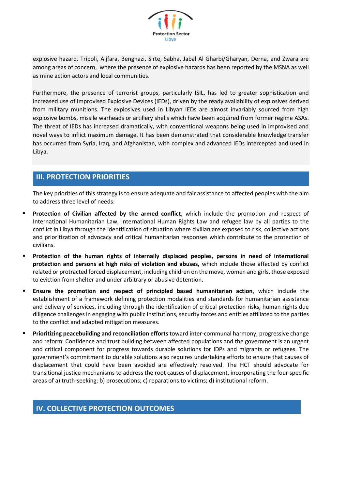

explosive hazard. Tripoli, Aljfara, Benghazi, Sirte, Sabha, Jabal Al Gharbi/Gharyan, Derna, and Zwara are among areas of concern, where the presence of explosive hazards has been reported by the MSNA as well as mine action actors and local communities.

Furthermore, the presence of terrorist groups, particularly ISIL, has led to greater sophistication and increased use of Improvised Explosive Devices (IEDs), driven by the ready availability of explosives derived from military munitions. The explosives used in Libyan IEDs are almost invariably sourced from high explosive bombs, missile warheads or artillery shells which have been acquired from former regime ASAs. The threat of IEDs has increased dramatically, with conventional weapons being used in improvised and novel ways to inflict maximum damage. It has been demonstrated that considerable knowledge transfer has occurred from Syria, Iraq, and Afghanistan, with complex and advanced IEDs intercepted and used in Libya.

### **III. PROTECTION PRIORITIES**

The key priorities of this strategy is to ensure adequate and fair assistance to affected peoples with the aim to address three level of needs:

- Protection of Civilian affected by the armed conflict, which include the promotion and respect of International Humanitarian Law, International Human Rights Law and refugee law by all parties to the conflict in Libya through the identification of situation where civilian are exposed to risk, collective actions and prioritization of advocacy and critical humanitarian responses which contribute to the protection of civilians.
- Protection of the human rights of internally displaced peoples, persons in need of international **protection and persons at high risks of violation and abuses,** which include those affected by conflict related or protracted forced displacement, including children on the move, women and girls, those exposed to eviction from shelter and under arbitrary or abusive detention.
- **Ensure the promotion and respect of principled based humanitarian action**, which include the establishment of a framework defining protection modalities and standards for humanitarian assistance and delivery of services, including through the identification of critical protection risks, human rights due diligence challenges in engaging with public institutions, security forces and entities affiliated to the parties to the conflict and adapted mitigation measures.
- **Prioritizing peacebuilding and reconciliation efforts** toward inter-communal harmony, progressive change and reform. Confidence and trust building between affected populations and the government is an urgent and critical component for progress towards durable solutions for IDPs and migrants or refugees. The government's commitment to durable solutions also requires undertaking efforts to ensure that causes of displacement that could have been avoided are effectively resolved. The HCT should advocate for transitional justice mechanisms to address the root causes of displacement, incorporating the four specific areas of a) truth-seeking; b) prosecutions; c) reparations to victims; d) institutional reform.

### **IV. COLLECTIVE PROTECTION OUTCOMES**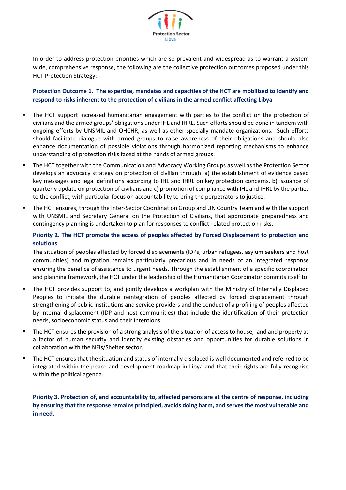

In order to address protection priorities which are so prevalent and widespread as to warrant a system wide, comprehensive response, the following are the collective protection outcomes proposed under this HCT Protection Strategy:

**Protection Outcome 1. The expertise, mandates and capacities of the HCT are mobilized to identify and respond to risks inherent to the protection of civilians in the armed conflict affecting Libya** 

- The HCT support increased humanitarian engagement with parties to the conflict on the protection of civilians and the armed groups' obligations under IHL and IHRL. Such efforts should be done in tandem with ongoing efforts by UNSMIL and OHCHR, as well as other specially mandate organizations. Such efforts should facilitate dialogue with armed groups to raise awareness of their obligations and should also enhance documentation of possible violations through harmonized reporting mechanisms to enhance understanding of protection risks faced at the hands of armed groups.
- The HCT together with the Communication and Advocacy Working Groups as well as the Protection Sector develops an advocacy strategy on protection of civilian through: a) the establishment of evidence based key messages and legal definitions according to IHL and IHRL on key protection concerns, b) issuance of quarterly update on protection of civilians and c) promotion of compliance with IHL and IHRL by the parties to the conflict, with particular focus on accountability to bring the perpetrators to justice.
- The HCT ensures, through the Inter-Sector Coordination Group and UN Country Team and with the support with UNSMIL and Secretary General on the Protection of Civilians, that appropriate preparedness and contingency planning is undertaken to plan for responses to conflict-related protection risks.

### **Priority 2. The HCT promote the access of peoples affected by Forced Displacement to protection and solutions**

The situation of peoples affected by forced displacements (IDPs, urban refugees, asylum seekers and host communities) and migration remains particularly precarious and in needs of an integrated response ensuring the benefice of assistance to urgent needs. Through the establishment of a specific coordination and planning framework, the HCT under the leadership of the Humanitarian Coordinator commits itself to:

- The HCT provides support to, and jointly develops a workplan with the Ministry of Internally Displaced Peoples to initiate the durable reintegration of peoples affected by forced displacement through strengthening of public institutions and service providers and the conduct of a profiling of peoples affected by internal displacement (IDP and host communities) that include the identification of their protection needs, socioeconomic status and their intentions.
- The HCT ensures the provision of a strong analysis of the situation of access to house, land and property as a factor of human security and identify existing obstacles and opportunities for durable solutions in collaboration with the NFIs/Shelter sector.
- The HCT ensures that the situation and status of internally displaced is well documented and referred to be integrated within the peace and development roadmap in Libya and that their rights are fully recognise within the political agenda.

**Priority 3. Protection of, and accountability to, affected persons are at the centre of response, including by ensuring that the response remains principled, avoids doing harm, and serves the most vulnerable and in need.**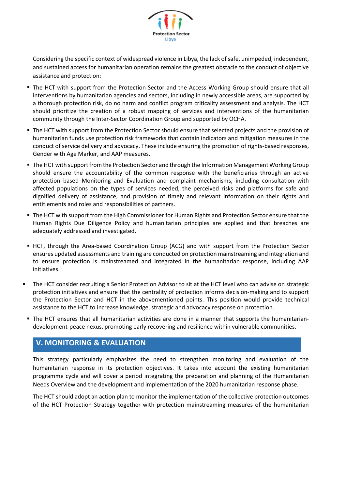

Considering the specific context of widespread violence in Libya, the lack of safe, unimpeded, independent, and sustained access for humanitarian operation remains the greatest obstacle to the conduct of objective assistance and protection:

- The HCT with support from the Protection Sector and the Access Working Group should ensure that all interventions by humanitarian agencies and sectors, including in newly accessible areas, are supported by a thorough protection risk, do no harm and conflict program criticality assessment and analysis. The HCT should prioritize the creation of a robust mapping of services and interventions of the humanitarian community through the Inter-Sector Coordination Group and supported by OCHA.
- The HCT with support from the Protection Sector should ensure that selected projects and the provision of humanitarian funds use protection risk frameworks that contain indicators and mitigation measures in the conduct of service delivery and advocacy. These include ensuring the promotion of rights-based responses, Gender with Age Marker, and AAP measures.
- **The HCT with support from the Protection Sector and through the Information Management Working Group** should ensure the accountability of the common response with the beneficiaries through an active protection based Monitoring and Evaluation and complaint mechanisms, including consultation with affected populations on the types of services needed, the perceived risks and platforms for safe and dignified delivery of assistance, and provision of timely and relevant information on their rights and entitlements and roles and responsibilities of partners.
- The HCT with support from the High Commissioner for Human Rights and Protection Sector ensure that the Human Rights Due Diligence Policy and humanitarian principles are applied and that breaches are adequately addressed and investigated.
- HCT, through the Area-based Coordination Group (ACG) and with support from the Protection Sector ensures updated assessments and training are conducted on protection mainstreaming and integration and to ensure protection is mainstreamed and integrated in the humanitarian response, including AAP initiatives.
- The HCT consider recruiting a Senior Protection Advisor to sit at the HCT level who can advise on strategic protection initiatives and ensure that the centrality of protection informs decision-making and to support the Protection Sector and HCT in the abovementioned points. This position would provide technical assistance to the HCT to increase knowledge, strategic and advocacy response on protection.
- The HCT ensures that all humanitarian activities are done in a manner that supports the humanitariandevelopment-peace nexus, promoting early recovering and resilience within vulnerable communities.

# **V. MONITORING & EVALUATION**

This strategy particularly emphasizes the need to strengthen monitoring and evaluation of the humanitarian response in its protection objectives. It takes into account the existing humanitarian programme cycle and will cover a period integrating the preparation and planning of the Humanitarian Needs Overview and the development and implementation of the 2020 humanitarian response phase.

The HCT should adopt an action plan to monitor the implementation of the collective protection outcomes of the HCT Protection Strategy together with protection mainstreaming measures of the humanitarian